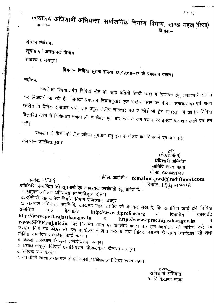कार्यालय अधिशाषी अभियन्ता, सार्वजनिक निर्माण विभाग, खण्ड महवा(दौसा) दिनांक: $-$ 

## श्रीमान निदेशक, सूचना एवं जनसम्पर्क विभाग राजस्थान, जयपुर।

# विषयः— निविदा सूचना संख्या 12/2016–17 के प्रकाशन बाबत।

महोदय

उपरोक्त विषयान्तर्गत निविदा नोट की आठ प्रतियॉ हिन्दी भाषा में विज्ञापन हेतु प्रकाशनार्थ संलग्न कर मिजवाई जा रही है। जिनका प्रकाशन नियमानुसार एक राष्ट्रीय स्तर पर दैनिक समाचार पत्र एवं राज्य स्तरीय दो दैनिक समाचार पत्रो, एक प्रगुख क्षेत्रीय समाचार पत्र व कोई भी ट्रेड जनरल में जो कि निविदा विज्ञापित करने में विशिष्ठता रखता हों, में केवल एक बार कम से कम स्थान पर इनका प्रकाशन कराने वग श्रम करें ।

प्रकाशन के बिलों की तीन प्रतियॉ भुगतान हेतु इस कार्यालय को भिजवाने का श्रम करें। संलग्न - उपरोक्तानुसार

> (के.एस.मीना) अधिशाषी अभियंता सानिवि खण्ड महवा मो.न0. 9414451748

 $1112$ 

्ईमेल. आई.डी.:– eemahua.pwd@rediffmail.com कमांक: 1435 प्रतिलिपि निम्नांकित को सूचनार्थ एवं आवश्यक कार्यवाही हेतु प्रेषित हैं:--

1. श्रीमुम्न अधीक्षण अभियन्ता सा.नि.वि.वृत्त दौसा।

९-ए.सी.पी. सार्वजनिक निर्माण विभाग राजस्थान, जयपुर।

3. सहायक अभियन्ता, सा.नि.वि. उपखण्ड महवा द्वितिय को भेजकर लेख है, कि सम्बन्धित कार्य की निविदा सम्बन्धित प्रपत्र बेबसाईट http://www.diproline.org  $\overline{q}$ बेबसाईट विभागीय http://www.pwd.rajasthan.gov.in http://www.eproc.rajasthan.gov.in व www.SPPP.raj.nic.in पर नियमित समय पर अपलोड करवा कर इस कार्यालय को सूचित करे एवं उपयोग किये गये डी.एस.सी. इस कार्यालय में जमा करवाये तथा निविदा खोलने के समय उपस्थित रहे तथा निविदा सम्पादित सम्बन्धित कार्य करावें।

4. अध्यक्ष राजस्थान, बिल्डर्स एशोरिायेशन जयपुर।

5. अध्यक्ष जयपुर, बिल्डर्स एशोसियेशन (पी.डब्ल्यू.डी. कैम्पस) जयपुर। 6. संवेदक संघ महवा।

7. तकनीकी शाखा / सहायक लेखाधिकारी / अंकेक्षक / कैशियर खण्ड महवा।

अधिशाषी अभियन्ता सा.नि.वि.खण्ड महवा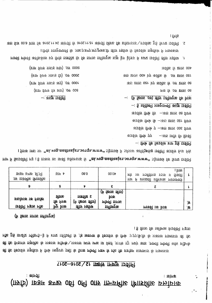#### : कॉम्ज़ी <u>: कामक</u> (IB's) ID3H SUB OB OF OH THEFFITE PUISEITE LEATLICE

#### <u> 1994 सूचना संख्या 12/2016-2017</u>

। ई तिारु कि एहीमारु धार्कानि न्हारू **File ps 1154712 11595-5-3** में हमप्र 5511261 fs , fs 18काफ के किरुकेंछ के पिर्फ ए.एए. कि. कि जकरछ FILISTETS की फि की कि सिठाएंग जुकुशिर के प्राकरार प्रक्रिके \प्राकरार प्रजार प्रचार पार केले ,प्राजार प्रक्रू सकंपू कारु ,पाएकी प्राप्ती काल प्रक्रिके की कि किरुविंग ज़ुक़किंग में रिपर्श्व फ़ायुरार एकी के पितक प्योमनी नज़म के त्रोह कि एडडिम छाएएलाई के नाफ़रालाई

(F TETIS DIFITS DETIFIERS)

| <b>IPaH 50p fift</b><br>THE THIRFFIRE TRITEFOIRE | त माह                                | 08.0                                       | 00.04                                                                                         | प्राय<br>शप<br>ाम्डसेरिज़ाइ रुजाइ<br>匝<br>फ़िर्क़ि<br>$\mathbf{p}$<br>प्राप्त स<br>दवनारायण आवासीय विद्यालय |          |
|--------------------------------------------------|--------------------------------------|--------------------------------------------|-----------------------------------------------------------------------------------------------|-------------------------------------------------------------------------------------------------------------|----------|
|                                                  | ç                                    |                                            |                                                                                               |                                                                                                             |          |
| प्रालम का कामालय<br>15 विनि एड़ारू नॉस्ट         | <b>BIFIE</b><br>कि स्रिक<br>णि प्राक | <b>DISFIR S</b><br>ाष्ट्रीाप्ट प्रज्ञपिष्ठ | (⊭<br>fern <del>o</del> refiro)<br><b>bl</b> $\Phi$<br><b>जिमली जिमा</b> रु<br><b>Denegre</b> | ण्डका कि धिक                                                                                                | .ஈ<br>`⊉ |

। गैफ़क 11मण प्रण "mi.vog.nadizai.er.oorqo.www" 5 वेसप्रकर्ष में 5 मेग्रांस कानीक्रफ के 15 विकित के के लिए निर ग़ाम में फ़िर्न्निर्नि न्डू । ई । किकार एक एकी इंक्टिन्सिड सि "ai.vog.asdissisn.orga.www" 5ई।स्रेक कि स्थिर स्थित

 $-$ : (14 TETIE .03) ETTE DETIFFE to type - है **b** प्रीक्षिति शारु गान्गति कराष्ट्र । इविति  $\overline{3}$   $\overline{2}$   $\overline{2}$   $\overline{2}$   $\overline{2}$   $\overline{2}$   $\overline{2}$   $\overline{2}$   $\overline{2}$   $\overline{2}$   $\overline{2}$   $\overline{2}$   $\overline{2}$   $\overline{2}$   $\overline{2}$   $\overline{2}$   $\overline{2}$   $\overline{2}$   $\overline{2}$   $\overline{2}$   $\overline{2}$   $\overline{2}$   $\overline{2}$   $\overline{2}$   $\overline{$ क56ंछ flute fb -का छारु 021 थिए कर्ज़ कि गिरि ए -क़ा छाल 008 फिल कर्जाक तीर्णक पृप् - काउँ । मक्ति कि क्रिकी  $-$  five to toppin FIV  $\overline{D}$  is in  $\overline{D}$ 

का छाल ०० के कथी कि ७ छाल ०३

কচ ভ্যাচ oar py কপ্ৰাণ্ড *f*f .of ভ্যাচ oa

काओ से अधिक

**FO ff 07 BJF 02** 

 $-$ :  $\overline{4m\mathbf{F}}$  Ipp $\overline{F}$ 

(हाम *पिछ प्रा*रुड होए) .0रु 000ट (FIF frpo SILET f5) .07 000S (FIF *fspo SIFO 49)* 07 0001 (Ell trips fir Fill) .07 008

। [फिडि जामुनामधर्न के .जारु.ए.डण्.क्रां फुळेरु.कि डिफि ज्ज्ञातिष्ठ कि किर्वक्रि ज्ञुकफिप में नार्थ्याजय ापामकी एपिर्नी कर्निएकांस छूप कि जाइतिप्र कि कि जागरु हुनिएम्बर छुर्छ ईए ईाइरु में हाय इविनि शिर रुईरिड ..१

। तिगंड का कि 00.3 प्राप्त कि 310S.11.4S कान्हीं कि 310S.11.31 कान्हीं क्षिप्र कि इंफिन्छाइ \ Fabile हुई सिएए 15blf 1. S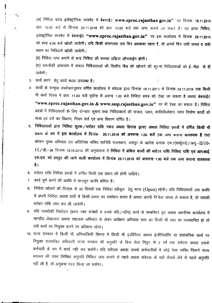(अ) निविदा प्रपत्र इलेक्ट्रोनिक फारमेट में बेबसाईट www.eproc.rajasthan gov.in" पर दिनांक 15.11.2016 प्रातः 10.00 वजे से दिनांक 25.11.2016 को प्रातः 10.00 बजे तक जमा कराये जा राकते हैं। एवं प्राप्त निविदा, , इलक्ट्रीनिक फारमेट में बेबसाईट **"www.eproc.rajasthan.gov.in"** पर इस कार्यालर को सायं 4.00 बजे खोली जायेगी। यदि किसी कारणवश उस दिन अवकाश रहता है, तो अगले दिन उसी समय व उसी स्थान पर निविदायें खोली जायेगी।

(ब) निविदा जमा कराने के बाद <mark>निविदा की समस्त प्रकिया ऑनलाईन होगी।</mark>

(स) तकनीकी आंकलन में सफल निविदाताओं की वित्तीय बिड को खोलने की सूचना निविदाताओं को ई—**मेल से दी** जावेगी।

3. कार्य करने हेतु कार्य स्थल उपलब्ध है।

.. •

- 4. कार्यो के सन्मुख उपरोक्तानुसार वर्णित कार्यालय में संवेदक द्वारा दिनांक 15.11.2013 से दिनांक 24.11.2016 तक किसी भी कार्य दिवस में प्रातः 11.00 बजे पूर्वान्ह से अरान्ह 1.00 बजे निविदा प्रपत्र को देखा जा सकता है अथवा **बेबसाईट** "www.eproc.rajasthan.gov.in & www.sssp.rajasthan.gov.in" पर भी देखा जा सकता है। निविदा प्रपत्रों में निविदाकर्ता के लिए योग्यता सूचना तथा निविदाकर्ता की पात्रता, प्लान, संसिफिकेशन, भवन निर्माण कार्यो की मात्रा एवं दरों का विवरण, नियम शर्त एवं अन्य विवरण वर्णित है।
- 5. निविदाताओं द्वारा निविदा शुल्क /धरोहर राशि नकद अथवा डिमांड ड्राफ्ट अथवा निविदा प्रपत्रों में वर्णित किसी भी प्रकार के रूप में इस कार्यालय में दिनांक 25.11.2016 को अपरान्ह 1.00 बजें ज़क जमा कराना आवश्यक है तथा श्रीमान मुख्य अभियंता एवं अतिरिक्त सचिव सानिवि राजस्थान, जयपुर के आदेश कमांक एफ.7(सर्कूलर)/अनु.–  $11$ /डी.-38 दिनांक 19.04.2012 की अनुपालना में निविदा में अकित कार्यो की धरोड़र राशि निविदा राशि एवं आर.आई. एस.एल. को प्रस्तुत की जाने वाली कार्यालय में दिनांक 25.11.2016 को अपरान्ह 1.00 बजे तक जमा कराना आवश्यक  $\frac{4}{5}$
- 6. धरोहर राशि निविदा प्रपत्रों में वर्णित किसी एक प्रकार की होनी चाहिये।
- 7. कार्य पूर्ण करने की अवधि में मानसून अवधि शमिल है।
- 8. निविदा खोलने की दिनांक से 30 दिवसों तक निविदा स्वीकृत हेतु मान्य (Open) रहेगी। यदि निविदाकर्ता उस अवधि में अपनी निविदा अथवा शर्तो में किसी प्रकार का संशोधन करता है अथवा अपनी नि<sup>ं</sup>वेदा वापस ले सकता है, **तो उसकी** धरोहर राशि जब्त कर ली जावेगी।
- 9. यदि नजदीकी रिश्तेदार (प्रथम रक्त सम्बंधी व उनके पति/पत्नि) कार्य से सम्बन्धिन वृत अथवा अधनीस्थ कार्यालय में खण्डीय लेखाकार अथवा सहायक अभियंता से लेकर अधीक्षण अभियंता स्तर का विंग्सी भी स्तर पर पदस्थापित हो तों उसे कार्य पर नियुक्त करने पर प्रतिबन्ध रहेगा।
- 10. राज्य सरकार में किसी भी अभियांत्रिकी विभाग में किसी भी इंजीनियर अथवा इंजीनियरिंग या प्रशासनिक कार्य पर नियुक्त राजपत्रित अधिकारी राज्य सरकार की अनुमति के बिना सेवा निवृत के 2 वर्ष तक संवेदक अथवां र cn4i11={1 \* xnr -4 m "'11ft Q)'X <sup>~</sup> <sup>I</sup> <sup>~</sup> <sup>~</sup> 3l~ <sup>~</sup> ¢4ill={1lf'j -4 <sup>~</sup> <sup>~</sup> <sup>~</sup> <sup>~</sup> <sup>~</sup> सरकार की उक्त लिखित अनुमति निविदा जमा कराने से पहले अथवा संवेदक के यहाँ सेवायें लेने से पहले अनुमति नही ली है, तो अनुबन्ध रदद किया जा सकेगा।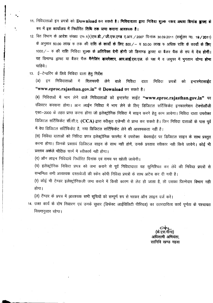- 11. निविदाताओं इन प्रपत्रों को Download कर सकते है। निविदादाता द्वारा निविदा शुल्क नकद अथवा डिमांड ब्राफ्ट के  $\overline{v}$ ए में इस कार्यालय में निर्धारित तिथि तक जमा कराना आवश्यक है।
- 12. वित विभाग के आदेश संख्या एफ.1(1)एफ.डी. ⁄ जी.एफ.एण्ड ए.आर. ⁄ 2007 दिनांक 30.09.2011 (सर्कुलर न0. 1**9 ⁄ 201**1 के अनुसार 50.00 लाख रु तक की **राशि के कार्यों के लिए 500/** – य 50.00 लाख रु अधिक राशि के कार्यों के लिए 1000/- रु की राशि निविदा शुल्क के अतिरिक्त देनी होगी जो डिमाण्ड ड्राफ्ट या बैंकर चैक के रुप में देय होगी। यह डिमाण्ड ड्राफ्ट या बैंकर चैक **मैलेजिंग डायरेक्टर, आर.आई.एस.एल**. के पक्ष में व जयुपर में भुगतान **योग्य होना** चाहिये ।
- 13. ई-टेन्डरिंग के लिये निविदा दाता हेतु निर्देश

**International Contract of the American State** 

i<br>I<br>I<br>I<br>I

•

f~ j. ,

1 1

f ~ I 4 r

in andread<br>I

in Linea**men**<br>I

i<br>international<br>international

.. •

> (अ) इन निविदाताओं में दिलचस्पी लेने वाले निविदा दाता निविदा प्रपन्नों को इन्टरनेटसाईट "www.eproc.rajasthan.gov.in" से Download कर सकते है।

> (ब) निविदाओं में भाग लेने वाले निविदाताओं को इन्टरनेट साईट "www.eproc.rajasthan.gov.in" पर रजिस्टर करवाना होगा। आन लाईन निविदा में भाग लेने के लिए डिजिटल सर्टिफिकेट इनफारमेशन टेक्नोलॉजी एक्ट-2000 के तहत प्राप्त करना होगा जो इलेक्ट्रोनिक निविदा में साइन करने हेतु काम आयेगा। निविदा दाता उपरोक्त डिजिटल सर्टिफिकेट सी.सी.ए. (CCA) द्वारा स्वीकृत एजेन्सी से प्राप्त कर सकते है। जिन निविदा दाताओं के पास पूर्व में वेघ डिजिटल सर्टिफिकेट है, नया डिजिटल सर्टिफिकेट लेने की आवश्यकता नहीं है।

> (स) निविदा दाताओं को निविदा प्रपत्र इलेक्ट्रोनिक फारमेट में उपरोक्त बेबसाईट पर डिजिटल साइन के साथ प्रस्तुत करना होगा। जिनके प्रस्तावं डिजिटल साइन के साथ नही होगें, उनके प्रस्ताव स्वीकार नही किये जायेगे। कोई भी प्रस्ताव अकेले भौतिक फार्म में स्वीकार्य नही होगा।

(द) ऑन लाइन निविदायें निर्धारित दिनांक एवं समय पर खोली जायेगी।

(य) इलेक्ट्रोनिक निविदा प्रपत्र को जमा कराने से पूर्व निविदादाता यह सुनिश्चित कर लेवे की निविदा प्रपत्रों से सम्बन्धित सभी आवश्यक दस्तावेजों की स्केन कॉपी निविदा प्रपत्रों के साथ अटेच कर दी गयी है।

(र) कोई भी टेण्डर इलेक्ट्रोनिकली जमा कराने में किसी कारण से लेट हो जाता है, तो उसका जिम्मेदार विभाग नही होगा।

(ल) टेंण्डर के प्रपत्र में आवश्यक सभी सूचियों को सम्पूर्ण रुप से भरकर ऑन लाइन दर्ज करें।

14. उक्त कार्य के दोष निवारण एवं उनके सुधार (डिफेक्ट लाईविलिटी पीरियड) का उतरदायित्व कार्य पूर्णता के पश्चायत ानियमानुसार रहेगा।

- - ---------------------------------------------

अधिशाषी अभियंता.

सानिवि खण्ड महवा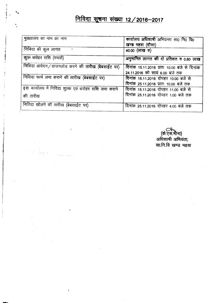## <u>निविदा सूचना संख्या 12 / 2016-2017</u>

| मुख्यालय का नाम का नाम                                | कार्यालय अधिशाषी अभियन्ता सा0 नि0 वि0        |
|-------------------------------------------------------|----------------------------------------------|
|                                                       | खण्ड महवा (दौसा)                             |
| निविदा की कुल लागत                                    | 40.00 (लाख रु)                               |
| कुल धरोहर राशि (रुपयों)                               | अनुमानित लागत की दो प्रतिशत रु 0.80 लाख      |
| निविदा आवेदन/डाउनलोड करने की तारीख (बेबसाईट पर)       | दिनांक 15.11.2016 प्रातः 10.00 बजे से दिनांक |
|                                                       | 24.11.2016 को सायं 6.00 बजे तक               |
| निविदा फार्म जमा कराने की तारीख (बेबसाईट पर)          | दिनांक 15.11.2016 दोपहर 10.00 बजे से         |
|                                                       | दिनांक 25.11.2016 प्रातः 10.00 बजे तक        |
| इस कार्यालय में निविदा शुल्क एवं धरोहर राशि जमा कराने | दिनांक 15.11.2016 दोपहर 11.00 बजे से         |
| की तारीख                                              | दिनांक 25.11.2016 दोपहर 1.00 बजे तक          |
| निविदा खोलने की तारीख (बेबसाईट पर)                    |                                              |
|                                                       | दिनांक 25.11.2016 दोपहर 4.00 बजे तक          |

-

 $\mathbf{I}$ 

(के.एस आधेशा m.~.~~ lffiCJT